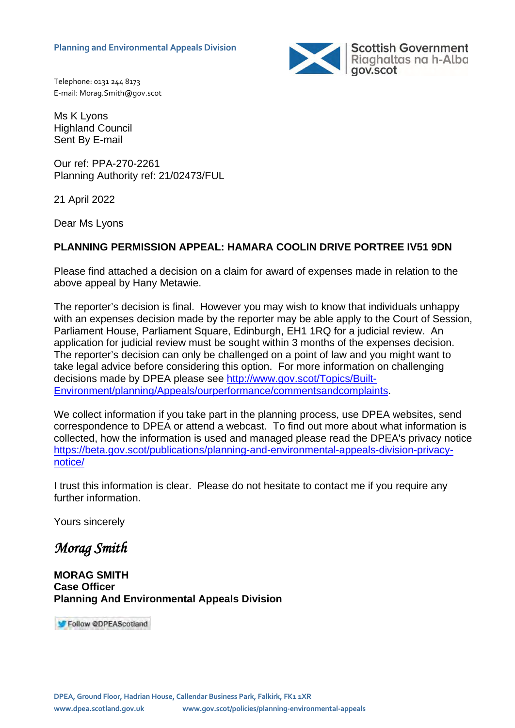

Telephone: 0131 244 8173 E-mail: Morag.Smith@gov.scot

Ms K Lyons Highland Council Sent By E-mail

Our ref: PPA-270-2261 Planning Authority ref: 21/02473/FUL

21 April 2022

Dear Ms Lyons

## **PLANNING PERMISSION APPEAL: HAMARA COOLIN DRIVE PORTREE IV51 9DN**

Please find attached a decision on a claim for award of expenses made in relation to the above appeal by Hany Metawie.

The reporter's decision is final. However you may wish to know that individuals unhappy with an expenses decision made by the reporter may be able apply to the Court of Session, Parliament House, Parliament Square, Edinburgh, EH1 1RQ for a judicial review. An application for judicial review must be sought within 3 months of the expenses decision. The reporter's decision can only be challenged on a point of law and you might want to take legal advice before considering this option. For more information on challenging decisions made by DPEA please see [http://www.gov.scot/Topics/Built-](http://www.gov.scot/Topics/Built-Environment/planning/Appeals/ourperformance/commentsandcomplaints)[Environment/planning/Appeals/ourperformance/commentsandcomplaints.](http://www.gov.scot/Topics/Built-Environment/planning/Appeals/ourperformance/commentsandcomplaints)

We collect information if you take part in the planning process, use DPEA websites, send correspondence to DPEA or attend a webcast. To find out more about what information is collected, how the information is used and managed please read the DPEA's privacy notice [https://beta.gov.scot/publications/planning-and-environmental-appeals-division-privacy](https://beta.gov.scot/publications/planning-and-environmental-appeals-division-privacy-notice/)[notice/](https://beta.gov.scot/publications/planning-and-environmental-appeals-division-privacy-notice/) 

I trust this information is clear. Please do not hesitate to contact me if you require any further information.

Yours sincerely

*Morag Smith* 

**MORAG SMITH Case Officer Planning And Environmental Appeals Division**

Follow @DPEAScotland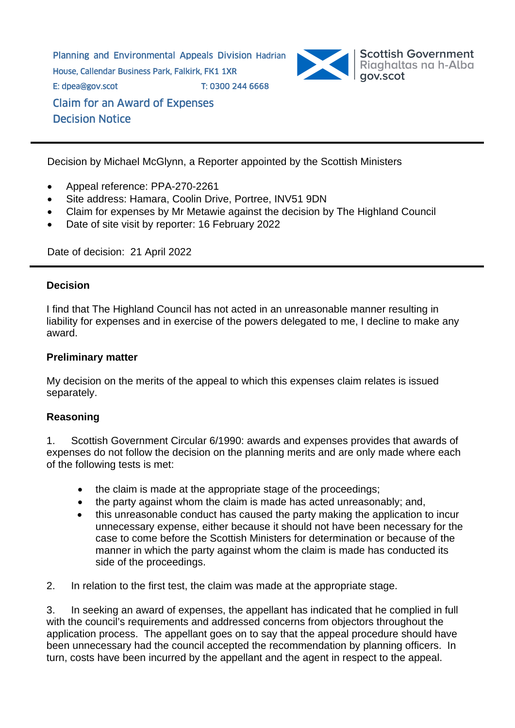Planning and Environmental Appeals Division Hadrian House, Callendar Business Park, Falkirk, FK1 1XR E: dpea@gov.scot T: 0300 244 6668 Claim for an Award of Expenses Decision Notice



Decision by Michael McGlynn, a Reporter appointed by the Scottish Ministers

- Appeal reference: PPA-270-2261
- Site address: Hamara, Coolin Drive, Portree, INV51 9DN
- Claim for expenses by Mr Metawie against the decision by The Highland Council
- Date of site visit by reporter: 16 February 2022

Date of decision: 21 April 2022

## **Decision**

I find that The Highland Council has not acted in an unreasonable manner resulting in liability for expenses and in exercise of the powers delegated to me, I decline to make any award.

## **Preliminary matter**

My decision on the merits of the appeal to which this expenses claim relates is issued separately.

## **Reasoning**

1. Scottish Government Circular 6/1990: awards and expenses provides that awards of expenses do not follow the decision on the planning merits and are only made where each of the following tests is met:

- the claim is made at the appropriate stage of the proceedings;
- the party against whom the claim is made has acted unreasonably; and,
- this unreasonable conduct has caused the party making the application to incur unnecessary expense, either because it should not have been necessary for the case to come before the Scottish Ministers for determination or because of the manner in which the party against whom the claim is made has conducted its side of the proceedings.
- 2. In relation to the first test, the claim was made at the appropriate stage.

3. In seeking an award of expenses, the appellant has indicated that he complied in full with the council's requirements and addressed concerns from objectors throughout the application process. The appellant goes on to say that the appeal procedure should have been unnecessary had the council accepted the recommendation by planning officers. In turn, costs have been incurred by the appellant and the agent in respect to the appeal.